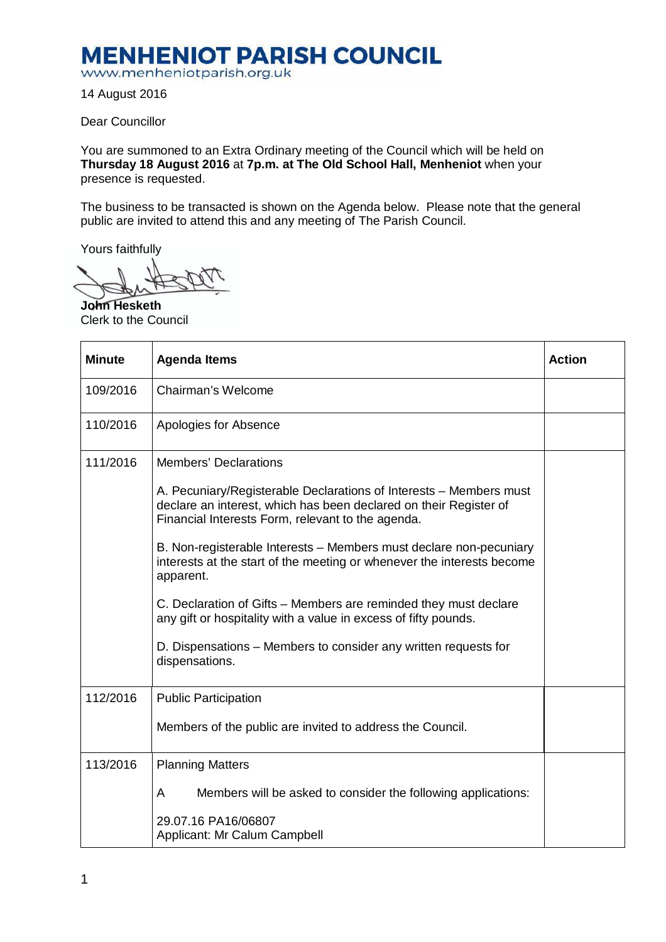## **MENHENIOT PARISH COUNCIL**

www.menheniotparish.org.uk

14 August 2016

Dear Councillor

You are summoned to an Extra Ordinary meeting of the Council which will be held on **Thursday 18 August 2016** at **7p.m. at The Old School Hall, Menheniot** when your presence is requested.

The business to be transacted is shown on the Agenda below. Please note that the general public are invited to attend this and any meeting of The Parish Council.

Yours faithfully

**John Hesketh**  Clerk to the Council

| <b>Minute</b> | <b>Agenda Items</b>                                                                                                                                                                                                                                                                                                                                                                                                                                                                                                              | <b>Action</b> |
|---------------|----------------------------------------------------------------------------------------------------------------------------------------------------------------------------------------------------------------------------------------------------------------------------------------------------------------------------------------------------------------------------------------------------------------------------------------------------------------------------------------------------------------------------------|---------------|
| 109/2016      | Chairman's Welcome                                                                                                                                                                                                                                                                                                                                                                                                                                                                                                               |               |
| 110/2016      | Apologies for Absence                                                                                                                                                                                                                                                                                                                                                                                                                                                                                                            |               |
| 111/2016      | <b>Members' Declarations</b><br>A. Pecuniary/Registerable Declarations of Interests - Members must<br>declare an interest, which has been declared on their Register of<br>Financial Interests Form, relevant to the agenda.<br>B. Non-registerable Interests - Members must declare non-pecuniary<br>interests at the start of the meeting or whenever the interests become<br>apparent.<br>C. Declaration of Gifts – Members are reminded they must declare<br>any gift or hospitality with a value in excess of fifty pounds. |               |
|               | D. Dispensations – Members to consider any written requests for<br>dispensations.                                                                                                                                                                                                                                                                                                                                                                                                                                                |               |
| 112/2016      | <b>Public Participation</b><br>Members of the public are invited to address the Council.                                                                                                                                                                                                                                                                                                                                                                                                                                         |               |
| 113/2016      | <b>Planning Matters</b><br>Members will be asked to consider the following applications:<br>A<br>29.07.16 PA16/06807<br>Applicant: Mr Calum Campbell                                                                                                                                                                                                                                                                                                                                                                             |               |